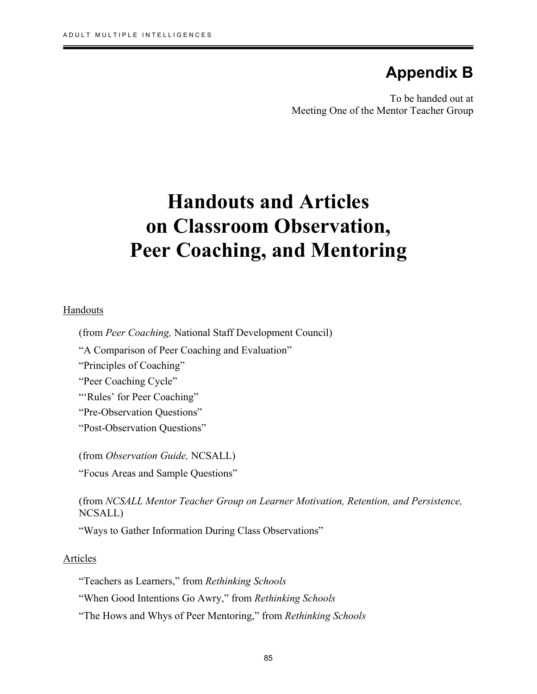## **Appendix B**

To be handed out at Meeting One of the Mentor Teacher Group

# **Handouts and Articles on Classroom Observation, Peer Coaching, and Mentoring**

#### Handouts

۱

(from *Peer Coaching,* National Staff Development Council)

"A Comparison of Peer Coaching and Evaluation"

"Principles of Coaching"

"Peer Coaching Cycle"

"'Rules' for Peer Coaching"

"Pre-Observation Questions"

"Post-Observation Questions"

(from *Observation Guide,* NCSALL) "Focus Areas and Sample Questions"

(from *NCSALL Mentor Teacher Group on Learner Motivation, Retention, and Persistence,* NCSALL)

"Ways to Gather Information During Class Observations"

#### Articles

"Teachers as Learners," from *Rethinking Schools*

"When Good Intentions Go Awry," from *Rethinking Schools*

"The Hows and Whys of Peer Mentoring," from *Rethinking Schools*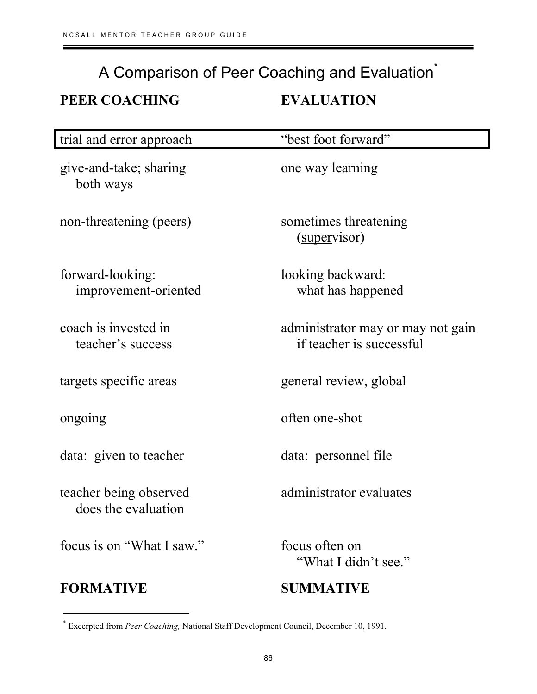# A Comparison of Peer Coaching and Evaluation<sup>\*</sup> **PEER COACHING EVALUATION**

| trial and error approach                      | "best foot forward"                                           |
|-----------------------------------------------|---------------------------------------------------------------|
| give-and-take; sharing<br>both ways           | one way learning                                              |
| non-threatening (peers)                       | sometimes threatening<br>(supervisor)                         |
| forward-looking:<br>improvement-oriented      | looking backward:<br>what has happened                        |
| coach is invested in<br>teacher's success     | administrator may or may not gain<br>if teacher is successful |
| targets specific areas                        | general review, global                                        |
| ongoing                                       | often one-shot                                                |
| data: given to teacher                        | data: personnel file                                          |
| teacher being observed<br>does the evaluation | administrator evaluates                                       |
| focus is on "What I saw."                     | focus often on<br>"What I didn't see."                        |
| <b>FORMATIVE</b>                              | <b>SUMMATIVE</b>                                              |

 $\overline{a}$ 

<sup>\*</sup> Excerpted from *Peer Coaching,* National Staff Development Council, December 10, 1991.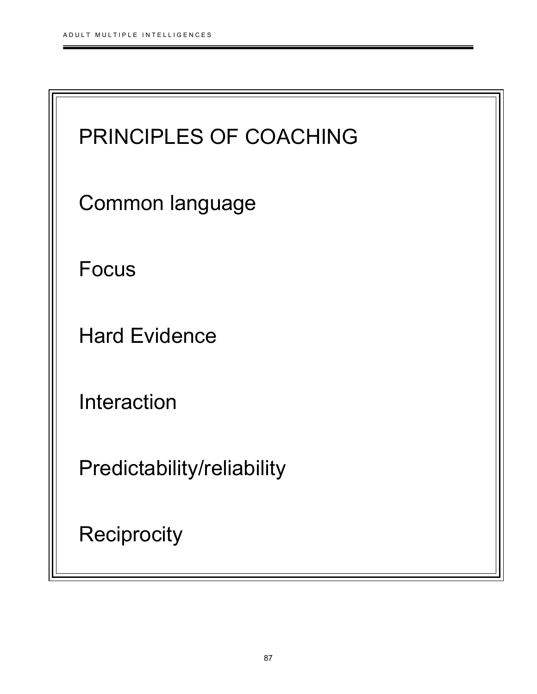$\equiv$ 

| PRINCIPLES OF COACHING     |  |
|----------------------------|--|
| Common language            |  |
| <b>Focus</b>               |  |
| <b>Hard Evidence</b>       |  |
| Interaction                |  |
| Predictability/reliability |  |
| <b>Reciprocity</b>         |  |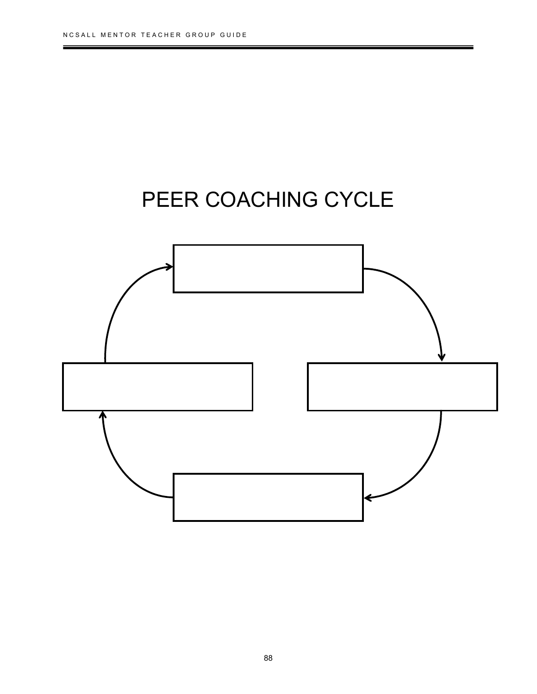

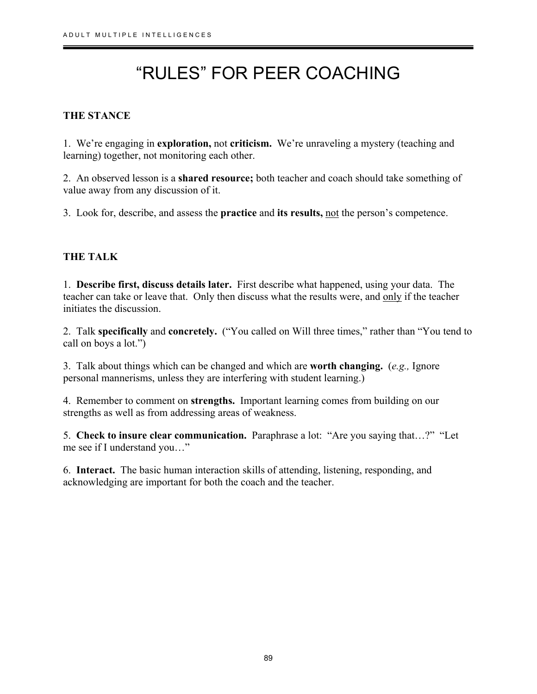# "RULES" FOR PEER COACHING

## **THE STANCE**

۱

1. We're engaging in **exploration,** not **criticism.** We're unraveling a mystery (teaching and learning) together, not monitoring each other.

2. An observed lesson is a **shared resource;** both teacher and coach should take something of value away from any discussion of it.

3. Look for, describe, and assess the **practice** and **its results,** not the person's competence.

### **THE TALK**

1. **Describe first, discuss details later.** First describe what happened, using your data. The teacher can take or leave that. Only then discuss what the results were, and only if the teacher initiates the discussion.

2. Talk **specifically** and **concretely.** ("You called on Will three times," rather than "You tend to call on boys a lot.")

3. Talk about things which can be changed and which are **worth changing.** (*e.g.,* Ignore personal mannerisms, unless they are interfering with student learning.)

4. Remember to comment on **strengths.** Important learning comes from building on our strengths as well as from addressing areas of weakness.

5. **Check to insure clear communication.** Paraphrase a lot: "Are you saying that…?" "Let me see if I understand you…"

6. **Interact.** The basic human interaction skills of attending, listening, responding, and acknowledging are important for both the coach and the teacher.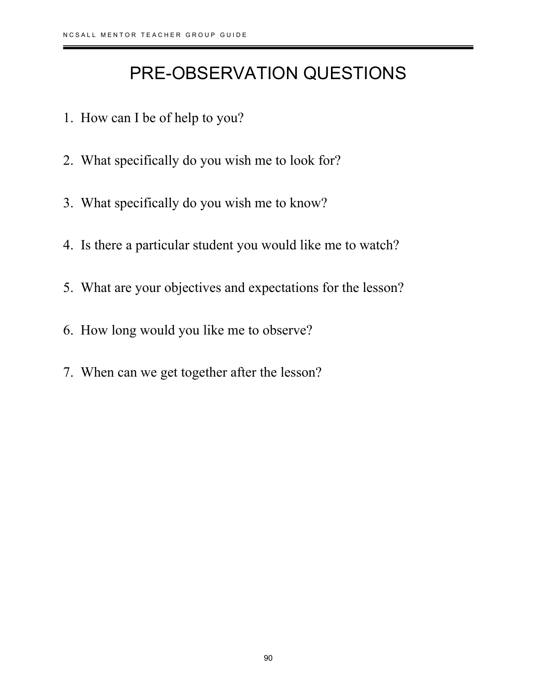## PRE-OBSERVATION QUESTIONS

- 1. How can I be of help to you?
- 2. What specifically do you wish me to look for?
- 3. What specifically do you wish me to know?
- 4. Is there a particular student you would like me to watch?
- 5. What are your objectives and expectations for the lesson?
- 6. How long would you like me to observe?
- 7. When can we get together after the lesson?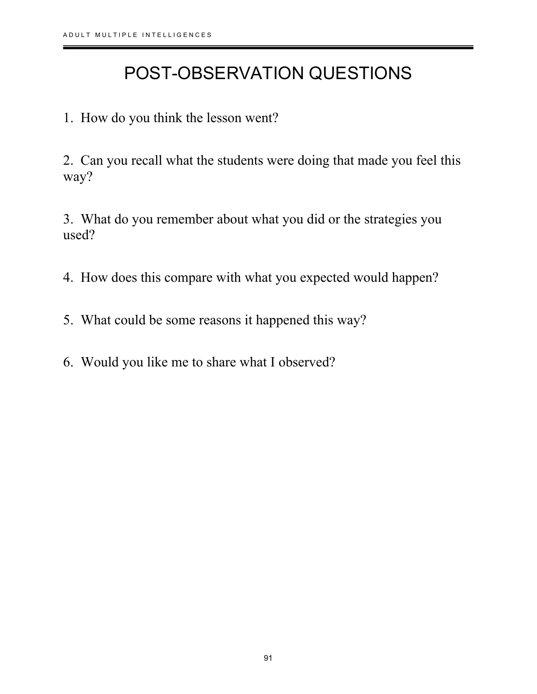## POST-OBSERVATION QUESTIONS

1. How do you think the lesson went?

2. Can you recall what the students were doing that made you feel this way?

3. What do you remember about what you did or the strategies you used?

4. How does this compare with what you expected would happen?

- 5. What could be some reasons it happened this way?
- 6. Would you like me to share what I observed?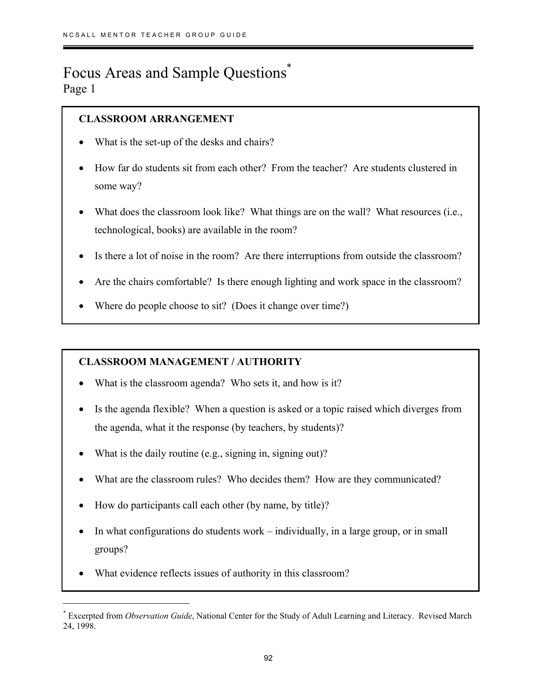## Focus Areas and Sample Questions\* Page 1

 $\overline{a}$ 

## **CLASSROOM ARRANGEMENT**

- What is the set-up of the desks and chairs?
- How far do students sit from each other? From the teacher? Are students clustered in some way?
- What does the classroom look like? What things are on the wall? What resources (i.e., technological, books) are available in the room?
- Is there a lot of noise in the room? Are there interruptions from outside the classroom?
- Are the chairs comfortable? Is there enough lighting and work space in the classroom?
- Where do people choose to sit? (Does it change over time?)

## **CLASSROOM MANAGEMENT / AUTHORITY**

- What is the classroom agenda? Who sets it, and how is it?
- Is the agenda flexible? When a question is asked or a topic raised which diverges from the agenda, what it the response (by teachers, by students)?
- What is the daily routine (e.g., signing in, signing out)?
- What are the classroom rules? Who decides them? How are they communicated?
- How do participants call each other (by name, by title)?
- In what configurations do students work individually, in a large group, or in small groups?
- What evidence reflects issues of authority in this classroom?

<sup>\*</sup> Excerpted from *Observation Guide*, National Center for the Study of Adult Learning and Literacy. Revised March 24, 1998.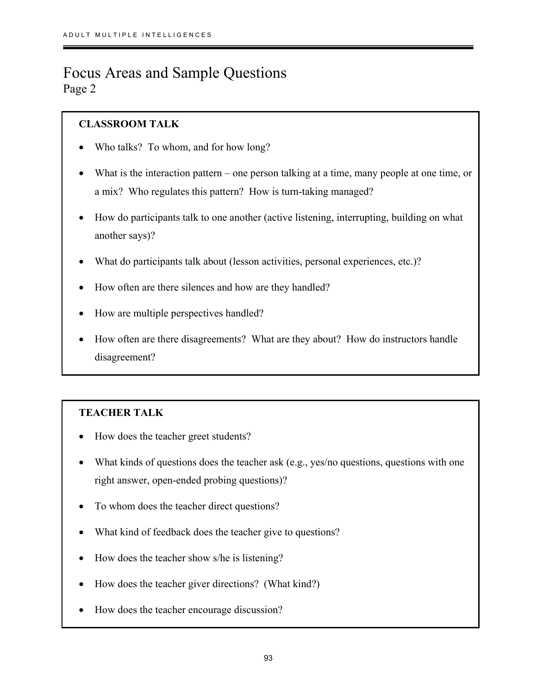## Focus Areas and Sample Questions Page 2

## **CLASSROOM TALK**

- Who talks? To whom, and for how long?
- What is the interaction pattern one person talking at a time, many people at one time, or a mix? Who regulates this pattern? How is turn-taking managed?
- How do participants talk to one another (active listening, interrupting, building on what another says)?
- What do participants talk about (lesson activities, personal experiences, etc.)?
- How often are there silences and how are they handled?
- How are multiple perspectives handled?
- How often are there disagreements? What are they about? How do instructors handle disagreement?

## **TEACHER TALK**

- How does the teacher greet students?
- What kinds of questions does the teacher ask (e.g., yes/no questions, questions with one right answer, open-ended probing questions)?
- To whom does the teacher direct questions?
- What kind of feedback does the teacher give to questions?
- How does the teacher show s/he is listening?
- How does the teacher giver directions? (What kind?)
- How does the teacher encourage discussion?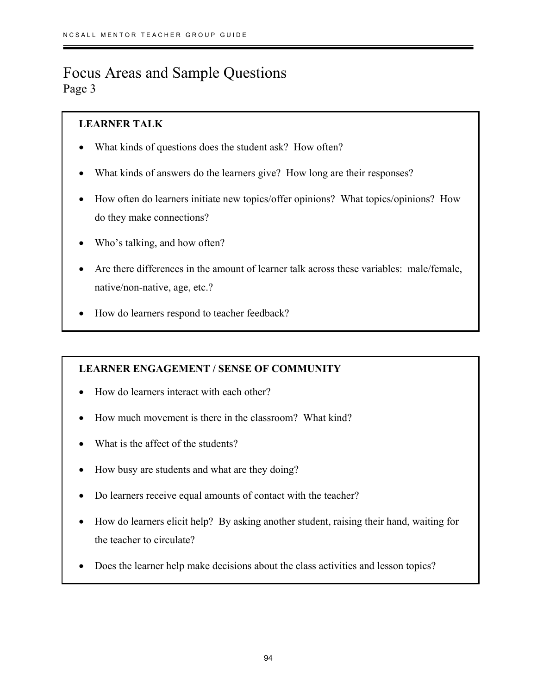## Focus Areas and Sample Questions Page 3

## **LEARNER TALK**

- What kinds of questions does the student ask? How often?
- What kinds of answers do the learners give? How long are their responses?
- How often do learners initiate new topics/offer opinions? What topics/opinions? How do they make connections?
- Who's talking, and how often?
- Are there differences in the amount of learner talk across these variables: male/female, native/non-native, age, etc.?
- How do learners respond to teacher feedback?

## **LEARNER ENGAGEMENT / SENSE OF COMMUNITY**

- How do learners interact with each other?
- How much movement is there in the classroom? What kind?
- What is the affect of the students?
- How busy are students and what are they doing?
- Do learners receive equal amounts of contact with the teacher?
- How do learners elicit help? By asking another student, raising their hand, waiting for the teacher to circulate?
- Does the learner help make decisions about the class activities and lesson topics?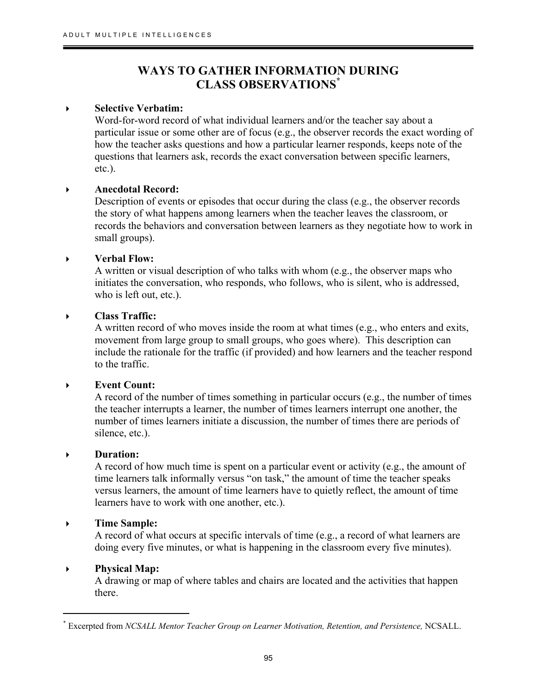## **WAYS TO GATHER INFORMATION DURING CLASS OBSERVATIONS\***

### **Selective Verbatim:**

۱

Word-for-word record of what individual learners and/or the teacher say about a particular issue or some other are of focus (e.g., the observer records the exact wording of how the teacher asks questions and how a particular learner responds, keeps note of the questions that learners ask, records the exact conversation between specific learners, etc.).

### **Anecdotal Record:**

Description of events or episodes that occur during the class (e.g., the observer records the story of what happens among learners when the teacher leaves the classroom, or records the behaviors and conversation between learners as they negotiate how to work in small groups).

### **Verbal Flow:**

A written or visual description of who talks with whom (e.g., the observer maps who initiates the conversation, who responds, who follows, who is silent, who is addressed, who is left out, etc.).

### **Class Traffic:**

A written record of who moves inside the room at what times (e.g., who enters and exits, movement from large group to small groups, who goes where). This description can include the rationale for the traffic (if provided) and how learners and the teacher respond to the traffic.

#### **Event Count:**

A record of the number of times something in particular occurs (e.g., the number of times the teacher interrupts a learner, the number of times learners interrupt one another, the number of times learners initiate a discussion, the number of times there are periods of silence, etc.).

#### **Duration:**

A record of how much time is spent on a particular event or activity (e.g., the amount of time learners talk informally versus "on task," the amount of time the teacher speaks versus learners, the amount of time learners have to quietly reflect, the amount of time learners have to work with one another, etc.).

#### **Time Sample:**

A record of what occurs at specific intervals of time (e.g., a record of what learners are doing every five minutes, or what is happening in the classroom every five minutes).

#### **Physical Map:**

 $\overline{a}$ 

A drawing or map of where tables and chairs are located and the activities that happen there.

<sup>\*</sup> Excerpted from *NCSALL Mentor Teacher Group on Learner Motivation, Retention, and Persistence,* NCSALL.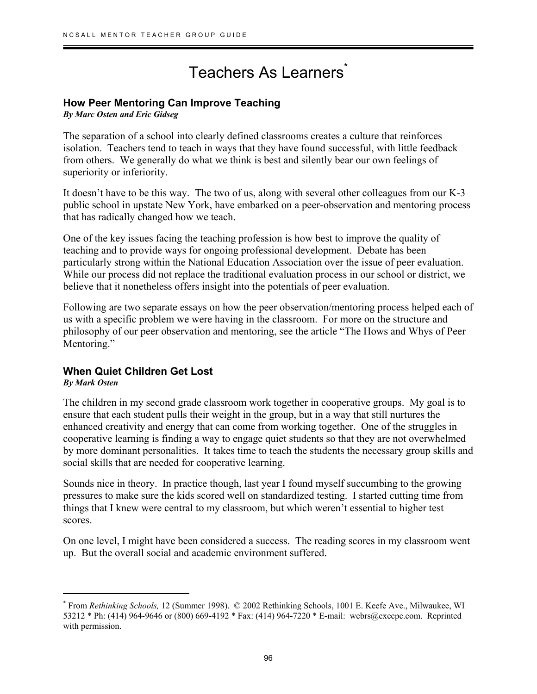## Teachers As Learners<sup>\*</sup>

### **How Peer Mentoring Can Improve Teaching**

*By Marc Osten and Eric Gidseg*

The separation of a school into clearly defined classrooms creates a culture that reinforces isolation. Teachers tend to teach in ways that they have found successful, with little feedback from others. We generally do what we think is best and silently bear our own feelings of superiority or inferiority.

It doesn't have to be this way. The two of us, along with several other colleagues from our K-3 public school in upstate New York, have embarked on a peer-observation and mentoring process that has radically changed how we teach.

One of the key issues facing the teaching profession is how best to improve the quality of teaching and to provide ways for ongoing professional development. Debate has been particularly strong within the National Education Association over the issue of peer evaluation. While our process did not replace the traditional evaluation process in our school or district, we believe that it nonetheless offers insight into the potentials of peer evaluation.

Following are two separate essays on how the peer observation/mentoring process helped each of us with a specific problem we were having in the classroom. For more on the structure and philosophy of our peer observation and mentoring, see the article "The Hows and Whys of Peer Mentoring."

## **When Quiet Children Get Lost**

*By Mark Osten* 

 $\ddot{\phantom{a}}$ 

The children in my second grade classroom work together in cooperative groups. My goal is to ensure that each student pulls their weight in the group, but in a way that still nurtures the enhanced creativity and energy that can come from working together. One of the struggles in cooperative learning is finding a way to engage quiet students so that they are not overwhelmed by more dominant personalities. It takes time to teach the students the necessary group skills and social skills that are needed for cooperative learning.

Sounds nice in theory. In practice though, last year I found myself succumbing to the growing pressures to make sure the kids scored well on standardized testing. I started cutting time from things that I knew were central to my classroom, but which weren't essential to higher test scores.

On one level, I might have been considered a success. The reading scores in my classroom went up. But the overall social and academic environment suffered.

<sup>\*</sup> From *Rethinking Schools,* 12 (Summer 1998). © 2002 Rethinking Schools, 1001 E. Keefe Ave., Milwaukee, WI 53212 \* Ph: (414) 964-9646 or (800) 669-4192 \* Fax: (414) 964-7220 \* E-mail: webrs@execpc.com. Reprinted with permission.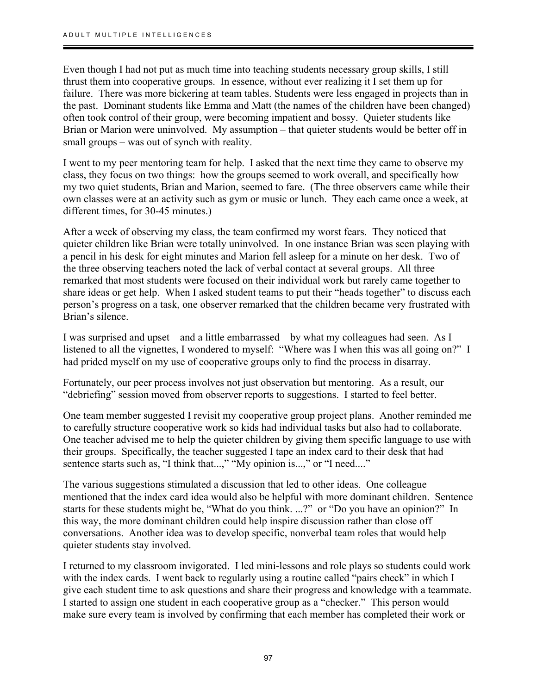Even though I had not put as much time into teaching students necessary group skills, I still thrust them into cooperative groups. In essence, without ever realizing it I set them up for failure. There was more bickering at team tables. Students were less engaged in projects than in the past. Dominant students like Emma and Matt (the names of the children have been changed) often took control of their group, were becoming impatient and bossy. Quieter students like Brian or Marion were uninvolved. My assumption – that quieter students would be better off in small groups – was out of synch with reality.

I went to my peer mentoring team for help. I asked that the next time they came to observe my class, they focus on two things: how the groups seemed to work overall, and specifically how my two quiet students, Brian and Marion, seemed to fare. (The three observers came while their own classes were at an activity such as gym or music or lunch. They each came once a week, at different times, for 30-45 minutes.)

After a week of observing my class, the team confirmed my worst fears. They noticed that quieter children like Brian were totally uninvolved. In one instance Brian was seen playing with a pencil in his desk for eight minutes and Marion fell asleep for a minute on her desk. Two of the three observing teachers noted the lack of verbal contact at several groups. All three remarked that most students were focused on their individual work but rarely came together to share ideas or get help. When I asked student teams to put their "heads together" to discuss each person's progress on a task, one observer remarked that the children became very frustrated with Brian's silence.

I was surprised and upset – and a little embarrassed – by what my colleagues had seen. As I listened to all the vignettes, I wondered to myself: "Where was I when this was all going on?" I had prided myself on my use of cooperative groups only to find the process in disarray.

Fortunately, our peer process involves not just observation but mentoring. As a result, our "debriefing" session moved from observer reports to suggestions. I started to feel better.

One team member suggested I revisit my cooperative group project plans. Another reminded me to carefully structure cooperative work so kids had individual tasks but also had to collaborate. One teacher advised me to help the quieter children by giving them specific language to use with their groups. Specifically, the teacher suggested I tape an index card to their desk that had sentence starts such as, "I think that...," "My opinion is...," or "I need...."

The various suggestions stimulated a discussion that led to other ideas. One colleague mentioned that the index card idea would also be helpful with more dominant children. Sentence starts for these students might be, "What do you think. ...?" or "Do you have an opinion?" In this way, the more dominant children could help inspire discussion rather than close off conversations. Another idea was to develop specific, nonverbal team roles that would help quieter students stay involved.

I returned to my classroom invigorated. I led mini-lessons and role plays so students could work with the index cards. I went back to regularly using a routine called "pairs check" in which I give each student time to ask questions and share their progress and knowledge with a teammate. I started to assign one student in each cooperative group as a "checker." This person would make sure every team is involved by confirming that each member has completed their work or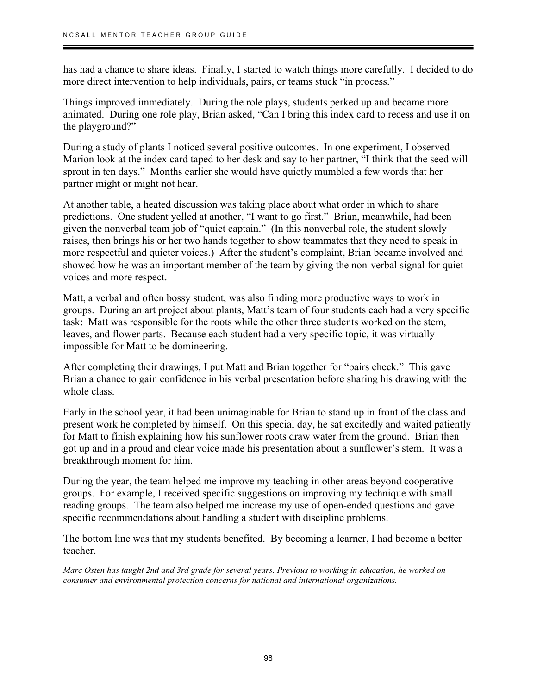has had a chance to share ideas. Finally, I started to watch things more carefully. I decided to do more direct intervention to help individuals, pairs, or teams stuck "in process."

Things improved immediately. During the role plays, students perked up and became more animated. During one role play, Brian asked, "Can I bring this index card to recess and use it on the playground?"

During a study of plants I noticed several positive outcomes. In one experiment, I observed Marion look at the index card taped to her desk and say to her partner, "I think that the seed will sprout in ten days." Months earlier she would have quietly mumbled a few words that her partner might or might not hear.

At another table, a heated discussion was taking place about what order in which to share predictions. One student yelled at another, "I want to go first." Brian, meanwhile, had been given the nonverbal team job of "quiet captain." (In this nonverbal role, the student slowly raises, then brings his or her two hands together to show teammates that they need to speak in more respectful and quieter voices.) After the student's complaint, Brian became involved and showed how he was an important member of the team by giving the non-verbal signal for quiet voices and more respect.

Matt, a verbal and often bossy student, was also finding more productive ways to work in groups. During an art project about plants, Matt's team of four students each had a very specific task: Matt was responsible for the roots while the other three students worked on the stem, leaves, and flower parts. Because each student had a very specific topic, it was virtually impossible for Matt to be domineering.

After completing their drawings, I put Matt and Brian together for "pairs check." This gave Brian a chance to gain confidence in his verbal presentation before sharing his drawing with the whole class.

Early in the school year, it had been unimaginable for Brian to stand up in front of the class and present work he completed by himself. On this special day, he sat excitedly and waited patiently for Matt to finish explaining how his sunflower roots draw water from the ground. Brian then got up and in a proud and clear voice made his presentation about a sunflower's stem. It was a breakthrough moment for him.

During the year, the team helped me improve my teaching in other areas beyond cooperative groups. For example, I received specific suggestions on improving my technique with small reading groups. The team also helped me increase my use of open-ended questions and gave specific recommendations about handling a student with discipline problems.

The bottom line was that my students benefited. By becoming a learner, I had become a better teacher.

*Marc Osten has taught 2nd and 3rd grade for several years. Previous to working in education, he worked on consumer and environmental protection concerns for national and international organizations.*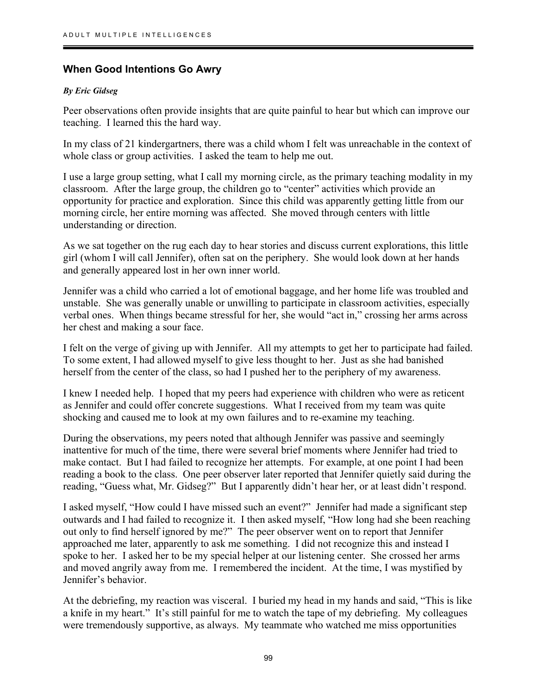### **When Good Intentions Go Awry**

#### *By Eric Gidseg*

۱

Peer observations often provide insights that are quite painful to hear but which can improve our teaching. I learned this the hard way.

In my class of 21 kindergartners, there was a child whom I felt was unreachable in the context of whole class or group activities. I asked the team to help me out.

I use a large group setting, what I call my morning circle, as the primary teaching modality in my classroom. After the large group, the children go to "center" activities which provide an opportunity for practice and exploration. Since this child was apparently getting little from our morning circle, her entire morning was affected. She moved through centers with little understanding or direction.

As we sat together on the rug each day to hear stories and discuss current explorations, this little girl (whom I will call Jennifer), often sat on the periphery. She would look down at her hands and generally appeared lost in her own inner world.

Jennifer was a child who carried a lot of emotional baggage, and her home life was troubled and unstable. She was generally unable or unwilling to participate in classroom activities, especially verbal ones. When things became stressful for her, she would "act in," crossing her arms across her chest and making a sour face.

I felt on the verge of giving up with Jennifer. All my attempts to get her to participate had failed. To some extent, I had allowed myself to give less thought to her. Just as she had banished herself from the center of the class, so had I pushed her to the periphery of my awareness.

I knew I needed help. I hoped that my peers had experience with children who were as reticent as Jennifer and could offer concrete suggestions. What I received from my team was quite shocking and caused me to look at my own failures and to re-examine my teaching.

During the observations, my peers noted that although Jennifer was passive and seemingly inattentive for much of the time, there were several brief moments where Jennifer had tried to make contact. But I had failed to recognize her attempts. For example, at one point I had been reading a book to the class. One peer observer later reported that Jennifer quietly said during the reading, "Guess what, Mr. Gidseg?" But I apparently didn't hear her, or at least didn't respond.

I asked myself, "How could I have missed such an event?" Jennifer had made a significant step outwards and I had failed to recognize it. I then asked myself, "How long had she been reaching out only to find herself ignored by me?" The peer observer went on to report that Jennifer approached me later, apparently to ask me something. I did not recognize this and instead I spoke to her. I asked her to be my special helper at our listening center. She crossed her arms and moved angrily away from me. I remembered the incident. At the time, I was mystified by Jennifer's behavior.

At the debriefing, my reaction was visceral. I buried my head in my hands and said, "This is like a knife in my heart." It's still painful for me to watch the tape of my debriefing. My colleagues were tremendously supportive, as always. My teammate who watched me miss opportunities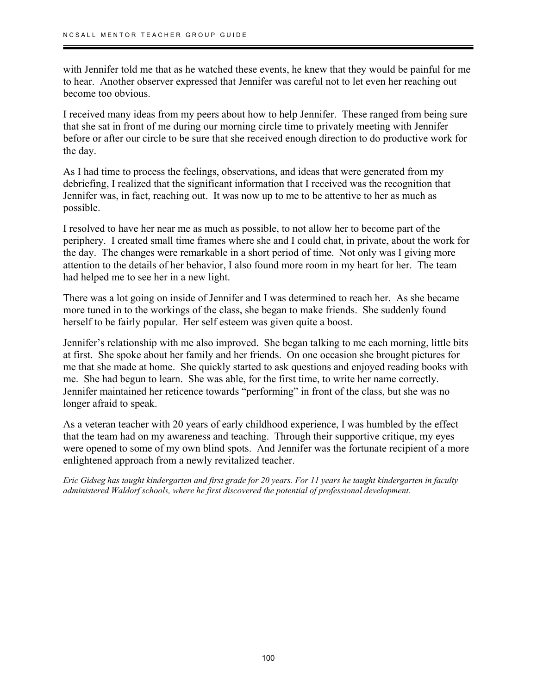with Jennifer told me that as he watched these events, he knew that they would be painful for me to hear. Another observer expressed that Jennifer was careful not to let even her reaching out become too obvious.

I received many ideas from my peers about how to help Jennifer. These ranged from being sure that she sat in front of me during our morning circle time to privately meeting with Jennifer before or after our circle to be sure that she received enough direction to do productive work for the day.

As I had time to process the feelings, observations, and ideas that were generated from my debriefing, I realized that the significant information that I received was the recognition that Jennifer was, in fact, reaching out. It was now up to me to be attentive to her as much as possible.

I resolved to have her near me as much as possible, to not allow her to become part of the periphery. I created small time frames where she and I could chat, in private, about the work for the day. The changes were remarkable in a short period of time. Not only was I giving more attention to the details of her behavior, I also found more room in my heart for her. The team had helped me to see her in a new light.

There was a lot going on inside of Jennifer and I was determined to reach her. As she became more tuned in to the workings of the class, she began to make friends. She suddenly found herself to be fairly popular. Her self esteem was given quite a boost.

Jennifer's relationship with me also improved. She began talking to me each morning, little bits at first. She spoke about her family and her friends. On one occasion she brought pictures for me that she made at home. She quickly started to ask questions and enjoyed reading books with me. She had begun to learn. She was able, for the first time, to write her name correctly. Jennifer maintained her reticence towards "performing" in front of the class, but she was no longer afraid to speak.

As a veteran teacher with 20 years of early childhood experience, I was humbled by the effect that the team had on my awareness and teaching. Through their supportive critique, my eyes were opened to some of my own blind spots. And Jennifer was the fortunate recipient of a more enlightened approach from a newly revitalized teacher.

*Eric Gidseg has taught kindergarten and first grade for 20 years. For 11 years he taught kindergarten in faculty administered Waldorf schools, where he first discovered the potential of professional development.*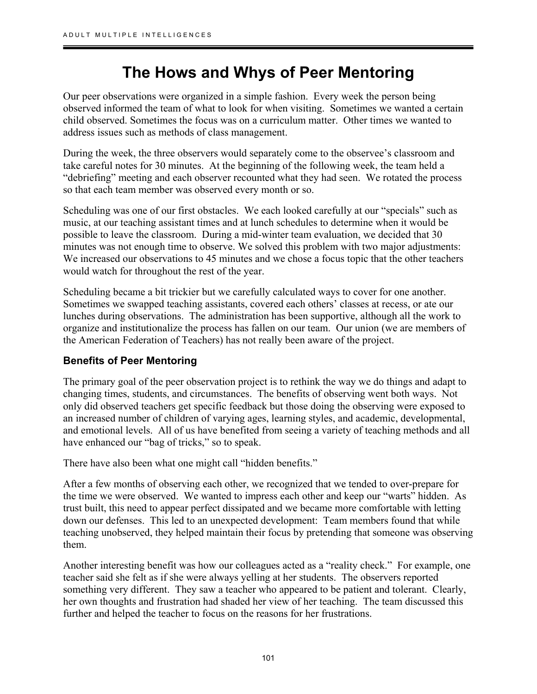## **The Hows and Whys of Peer Mentoring**

Our peer observations were organized in a simple fashion. Every week the person being observed informed the team of what to look for when visiting. Sometimes we wanted a certain child observed. Sometimes the focus was on a curriculum matter. Other times we wanted to address issues such as methods of class management.

During the week, the three observers would separately come to the observee's classroom and take careful notes for 30 minutes. At the beginning of the following week, the team held a "debriefing" meeting and each observer recounted what they had seen. We rotated the process so that each team member was observed every month or so.

Scheduling was one of our first obstacles. We each looked carefully at our "specials" such as music, at our teaching assistant times and at lunch schedules to determine when it would be possible to leave the classroom. During a mid-winter team evaluation, we decided that 30 minutes was not enough time to observe. We solved this problem with two major adjustments: We increased our observations to 45 minutes and we chose a focus topic that the other teachers would watch for throughout the rest of the year.

Scheduling became a bit trickier but we carefully calculated ways to cover for one another. Sometimes we swapped teaching assistants, covered each others' classes at recess, or ate our lunches during observations. The administration has been supportive, although all the work to organize and institutionalize the process has fallen on our team. Our union (we are members of the American Federation of Teachers) has not really been aware of the project.

## **Benefits of Peer Mentoring**

The primary goal of the peer observation project is to rethink the way we do things and adapt to changing times, students, and circumstances. The benefits of observing went both ways. Not only did observed teachers get specific feedback but those doing the observing were exposed to an increased number of children of varying ages, learning styles, and academic, developmental, and emotional levels. All of us have benefited from seeing a variety of teaching methods and all have enhanced our "bag of tricks," so to speak.

There have also been what one might call "hidden benefits."

After a few months of observing each other, we recognized that we tended to over-prepare for the time we were observed. We wanted to impress each other and keep our "warts" hidden. As trust built, this need to appear perfect dissipated and we became more comfortable with letting down our defenses. This led to an unexpected development: Team members found that while teaching unobserved, they helped maintain their focus by pretending that someone was observing them.

Another interesting benefit was how our colleagues acted as a "reality check." For example, one teacher said she felt as if she were always yelling at her students. The observers reported something very different. They saw a teacher who appeared to be patient and tolerant. Clearly, her own thoughts and frustration had shaded her view of her teaching. The team discussed this further and helped the teacher to focus on the reasons for her frustrations.